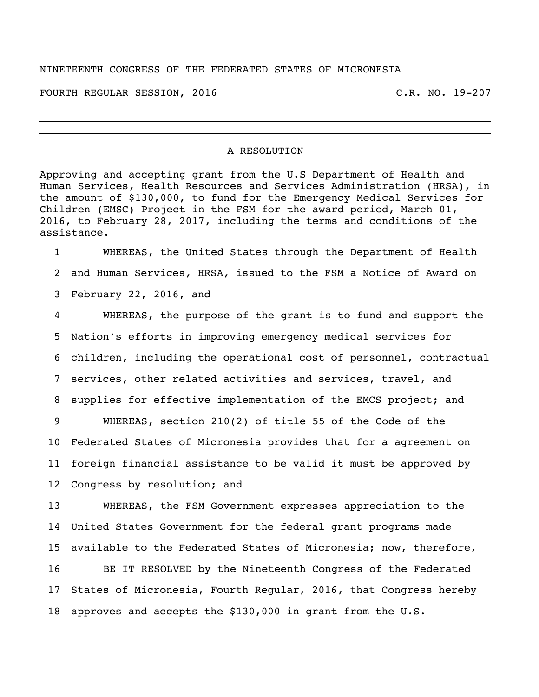## NINETEENTH CONGRESS OF THE FEDERATED STATES OF MICRONESIA

FOURTH REGULAR SESSION, 2016 C.R. NO. 19-207

## A RESOLUTION

Approving and accepting grant from the U.S Department of Health and Human Services, Health Resources and Services Administration (HRSA), in the amount of \$130,000, to fund for the Emergency Medical Services for Children (EMSC) Project in the FSM for the award period, March 01, 2016, to February 28, 2017, including the terms and conditions of the assistance.

 WHEREAS, the United States through the Department of Health and Human Services, HRSA, issued to the FSM a Notice of Award on February 22, 2016, and

 WHEREAS, the purpose of the grant is to fund and support the Nation's efforts in improving emergency medical services for children, including the operational cost of personnel, contractual services, other related activities and services, travel, and supplies for effective implementation of the EMCS project; and WHEREAS, section 210(2) of title 55 of the Code of the Federated States of Micronesia provides that for a agreement on foreign financial assistance to be valid it must be approved by Congress by resolution; and

 WHEREAS, the FSM Government expresses appreciation to the United States Government for the federal grant programs made available to the Federated States of Micronesia; now, therefore,

 BE IT RESOLVED by the Nineteenth Congress of the Federated States of Micronesia, Fourth Regular, 2016, that Congress hereby approves and accepts the \$130,000 in grant from the U.S.